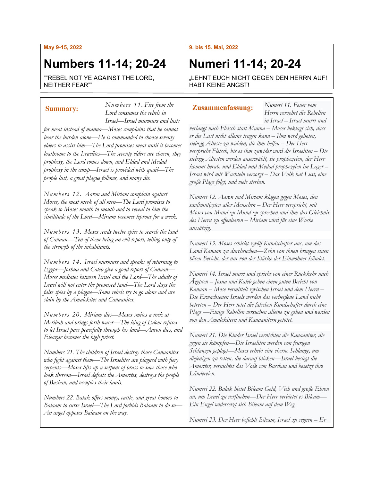### **May 9-15, 2022**

## **Numbers 11-14; 20-24**

""REBEL NOT YE AGAINST THE LORD, NEITHER FEAR""

*Lord consumes the rebels in Israel—Israel murmurs and lusts for meat instead of manna—Moses complains that he cannot bear the burden alone—He is commanded to choose seventy elders to assist him—The Lord promises meat until it becomes loathsome to the Israelites—The seventy elders are chosen, they prophesy, the Lord comes down, and Eldad and Medad prophesy in the camp—Israel is provided with quail—The people lust, a great plague follows, and many die.*

*Numbers 11. Fire from the* 

*Numbers 12. Aaron and Miriam complain against Moses, the most meek of all men—The Lord promises to speak to Moses mouth to mouth and to reveal to him the similitude of the Lord—Miriam becomes leprous for a week.*

*Numbers 13. Moses sends twelve spies to search the land of Canaan—Ten of them bring an evil report, telling only of the strength of the inhabitants.*

*Numbers 14. Israel murmurs and speaks of returning to Egypt—Joshua and Caleb give a good report of Canaan— Moses mediates between Israel and the Lord—The adults of Israel will not enter the promised land—The Lord slays the false spies by a plague—Some rebels try to go alone and are slain by the Amalekites and Canaanites.*

*Numbers 20. Miriam dies—Moses smites a rock at Meribah and brings forth water—The king of Edom refuses to let Israel pass peacefully through his land—Aaron dies, and Eleazar becomes the high priest.*

*Numbers 21. The children of Israel destroy those Canaanites who fight against them—The Israelites are plagued with fiery serpents—Moses lifts up a serpent of brass to save those who look thereon—Israel defeats the Amorites, destroys the people of Bashan, and occupies their lands.*

*Numbers 22. Balak offers money, cattle, and great honors to Balaam to curse Israel—The Lord forbids Balaam to do so— An angel opposes Balaam on the way.*

### **9. bis 15. Mai, 2022**

# **Numeri 11-14; 20-24**

"LEHNT EUCH NICHT GEGEN DEN HERRN AUF! HABT KEINE ANGST!

### **Summary: Zusammenfassung:**

*Herrn verzehrt die Rebellen in Israel – Israel murrt und* 

*Numeri 11. Feuer vom* 

*verlangt nach Fleisch statt Manna – Moses beklagt sich, dass er die Last nicht alleine tragen kann – Ihm wird geboten, siebzig Älteste zu wählen, die ihm helfen – Der Herr verspricht Fleisch, bis es ihm zuwider wird die Israeliten – Die siebzig Ältesten werden auserwählt, sie prophezeien, der Herr kommt herab, und Eldad und Medad prophezeien im Lager – Israel wird mit Wachteln versorgt – Das Volk hat Lust, eine große Plage folgt, und viele sterben.*

*Numeri 12. Aaron und Miriam klagen gegen Moses, den sanftmütigsten aller Menschen – Der Herr verspricht, mit Moses von Mund zu Mund zu sprechen und ihm das Gleichnis des Herrn zu offenbaren – Miriam wird für eine Woche aussätzig.*

*Numeri 13. Moses schickt zwölf Kundschafter aus, um das Land Kanaan zu durchsuchen—Zehn von ihnen bringen einen bösen Bericht, der nur von der Stärke der Einwohner kündet.*

*Numeri 14. Israel murrt und spricht von einer Rückkehr nach Ägypten – Josua und Kaleb geben einen guten Bericht von Kanaan – Mose vermittelt zwischen Israel und dem Herrn – Die Erwachsenen Israels werden das verheißene Land nicht betreten – Der Herr tötet die falschen Kundschafter durch eine Plage —Einige Rebellen versuchen alleine zu gehen und werden von den Amalekitern und Kanaanitern getötet.*

*Numeri 21. Die Kinder Israel vernichten die Kanaaniter, die gegen sie kämpfen—Die Israeliten werden von feurigen Schlangen geplagt—Moses erhebt eine eherne Schlange, um diejenigen zu retten, die darauf blicken—Israel besiegt die Amoriter, vernichtet das Volk von Baschan und besetzt ihre Ländereien.*

*Numeri 22. Balak bietet Bileam Geld, Vieh und große Ehren an, um Israel zu verfluchen—Der Herr verbietet es Bileam— Ein Engel widersetzt sich Bileam auf dem Weg.*

*Numeri 23. Der Herr befiehlt Bileam, Israel zu segnen – Er*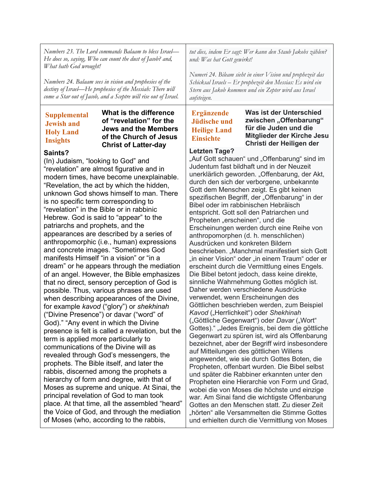| Numbers 23. The Lord commands Balaam to bless Israel-                                                                                                                                                        |                                                                                                                                                                                                                                                                                                                                                                                                                                                                                                                                                                                                                                                                                                                                                                                                                                                                                                                                                                                                                                                                                                                                                                                                                                                                                                                                                                                                                                                                                                                            | tut dies, indem Er sagt: Wer kann den Staub Jakobs zählen?                                                                                                                         |                                                                                                                                                                                                                                                                                                                                                                                                                                                                                                                                                                                                                                                                                                                                                                                                                                                                                                                                                                                                                                                                                                                                                                                                                                                                                                                                                                                                                                                                                                                                                                                                                                                                                                                              |
|--------------------------------------------------------------------------------------------------------------------------------------------------------------------------------------------------------------|----------------------------------------------------------------------------------------------------------------------------------------------------------------------------------------------------------------------------------------------------------------------------------------------------------------------------------------------------------------------------------------------------------------------------------------------------------------------------------------------------------------------------------------------------------------------------------------------------------------------------------------------------------------------------------------------------------------------------------------------------------------------------------------------------------------------------------------------------------------------------------------------------------------------------------------------------------------------------------------------------------------------------------------------------------------------------------------------------------------------------------------------------------------------------------------------------------------------------------------------------------------------------------------------------------------------------------------------------------------------------------------------------------------------------------------------------------------------------------------------------------------------------|------------------------------------------------------------------------------------------------------------------------------------------------------------------------------------|------------------------------------------------------------------------------------------------------------------------------------------------------------------------------------------------------------------------------------------------------------------------------------------------------------------------------------------------------------------------------------------------------------------------------------------------------------------------------------------------------------------------------------------------------------------------------------------------------------------------------------------------------------------------------------------------------------------------------------------------------------------------------------------------------------------------------------------------------------------------------------------------------------------------------------------------------------------------------------------------------------------------------------------------------------------------------------------------------------------------------------------------------------------------------------------------------------------------------------------------------------------------------------------------------------------------------------------------------------------------------------------------------------------------------------------------------------------------------------------------------------------------------------------------------------------------------------------------------------------------------------------------------------------------------------------------------------------------------|
| He does so, saying, Who can count the dust of Jacob? and,                                                                                                                                                    |                                                                                                                                                                                                                                                                                                                                                                                                                                                                                                                                                                                                                                                                                                                                                                                                                                                                                                                                                                                                                                                                                                                                                                                                                                                                                                                                                                                                                                                                                                                            | und: Was hat Gott gewirkt!                                                                                                                                                         |                                                                                                                                                                                                                                                                                                                                                                                                                                                                                                                                                                                                                                                                                                                                                                                                                                                                                                                                                                                                                                                                                                                                                                                                                                                                                                                                                                                                                                                                                                                                                                                                                                                                                                                              |
| What hath God wrought!                                                                                                                                                                                       |                                                                                                                                                                                                                                                                                                                                                                                                                                                                                                                                                                                                                                                                                                                                                                                                                                                                                                                                                                                                                                                                                                                                                                                                                                                                                                                                                                                                                                                                                                                            | Numeri 24. Bileam sieht in einer Vision und prophezeit das                                                                                                                         |                                                                                                                                                                                                                                                                                                                                                                                                                                                                                                                                                                                                                                                                                                                                                                                                                                                                                                                                                                                                                                                                                                                                                                                                                                                                                                                                                                                                                                                                                                                                                                                                                                                                                                                              |
| Numbers 24. Balaam sees in vision and prophesies of the                                                                                                                                                      |                                                                                                                                                                                                                                                                                                                                                                                                                                                                                                                                                                                                                                                                                                                                                                                                                                                                                                                                                                                                                                                                                                                                                                                                                                                                                                                                                                                                                                                                                                                            | Schicksal Israels – Er prophezeit den Messias: Es wird ein                                                                                                                         |                                                                                                                                                                                                                                                                                                                                                                                                                                                                                                                                                                                                                                                                                                                                                                                                                                                                                                                                                                                                                                                                                                                                                                                                                                                                                                                                                                                                                                                                                                                                                                                                                                                                                                                              |
| destiny of Israel—He prophesies of the Messiah: There will                                                                                                                                                   |                                                                                                                                                                                                                                                                                                                                                                                                                                                                                                                                                                                                                                                                                                                                                                                                                                                                                                                                                                                                                                                                                                                                                                                                                                                                                                                                                                                                                                                                                                                            | Stern aus Jakob kommen und ein Zepter wird aus Israel                                                                                                                              |                                                                                                                                                                                                                                                                                                                                                                                                                                                                                                                                                                                                                                                                                                                                                                                                                                                                                                                                                                                                                                                                                                                                                                                                                                                                                                                                                                                                                                                                                                                                                                                                                                                                                                                              |
| come a Star out of Jacob, and a Sceptre will rise out of Israel.                                                                                                                                             |                                                                                                                                                                                                                                                                                                                                                                                                                                                                                                                                                                                                                                                                                                                                                                                                                                                                                                                                                                                                                                                                                                                                                                                                                                                                                                                                                                                                                                                                                                                            | aufsteigen.                                                                                                                                                                        |                                                                                                                                                                                                                                                                                                                                                                                                                                                                                                                                                                                                                                                                                                                                                                                                                                                                                                                                                                                                                                                                                                                                                                                                                                                                                                                                                                                                                                                                                                                                                                                                                                                                                                                              |
| <b>Supplemental</b><br><b>Jewish and</b><br><b>Holy Land</b><br><b>Insights</b><br>Saints?<br>(In) Judaism, "looking to God" and<br>patriarchs and prophets, and the<br>term is applied more particularly to | What is the difference<br>of "revelation" for the<br><b>Jews and the Members</b><br>of the Church of Jesus<br><b>Christ of Latter-day</b><br>"revelation" are almost figurative and in<br>modern times, have become unexplainable.<br>"Revelation, the act by which the hidden,<br>unknown God shows himself to man. There<br>is no specific term corresponding to<br>"revelation" in the Bible or in rabbinic<br>Hebrew. God is said to "appear" to the<br>appearances are described by a series of<br>anthropomorphic (i.e., human) expressions<br>and concrete images. "Sometimes God<br>manifests Himself "in a vision" or "in a<br>dream" or he appears through the mediation<br>of an angel. However, the Bible emphasizes<br>that no direct, sensory perception of God is<br>possible. Thus, various phrases are used<br>when describing appearances of the Divine,<br>for example kavod ("glory") or shekhinah<br>("Divine Presence") or davar ("word" of<br>God)." "Any event in which the Divine<br>presence is felt is called a revelation, but the<br>communications of the Divine will as<br>revealed through God's messengers, the<br>prophets. The Bible itself, and later the<br>rabbis, discerned among the prophets a<br>hierarchy of form and degree, with that of<br>Moses as supreme and unique. At Sinai, the<br>principal revelation of God to man took<br>place. At that time, all the assembled "heard"<br>the Voice of God, and through the mediation<br>of Moses (who, according to the rabbis, | <b>Ergänzende</b><br><b>Jüdische und</b><br><b>Heilige Land</b><br><b>Einsichte</b><br><b>Letzten Tage?</b><br>Propheten "erscheinen", und die<br>Ausdrücken und konkreten Bildern | Was ist der Unterschied<br>zwischen "Offenbarung"<br>für die Juden und die<br>Mitglieder der Kirche Jesu<br>Christi der Heiligen der<br>"Auf Gott schauen" und "Offenbarung" sind im<br>Judentum fast bildhaft und in der Neuzeit<br>unerklärlich geworden. "Offenbarung, der Akt,<br>durch den sich der verborgene, unbekannte<br>Gott dem Menschen zeigt. Es gibt keinen<br>spezifischen Begriff, der "Offenbarung" in der<br>Bibel oder im rabbinischen Hebräisch<br>entspricht. Gott soll den Patriarchen und<br>Erscheinungen werden durch eine Reihe von<br>anthropomorphen (d. h. menschlichen)<br>beschrieben. "Manchmal manifestiert sich Gott<br>"in einer Vision" oder "in einem Traum" oder er<br>erscheint durch die Vermittlung eines Engels.<br>Die Bibel betont jedoch, dass keine direkte,<br>sinnliche Wahrnehmung Gottes möglich ist.<br>Daher werden verschiedene Ausdrücke<br>verwendet, wenn Erscheinungen des<br>Göttlichen beschrieben werden, zum Beispiel<br>Kavod ("Herrlichkeit") oder Shekhinah<br>("Göttliche Gegenwart") oder Davar ("Wort"<br>Gottes)." "Jedes Ereignis, bei dem die göttliche<br>Gegenwart zu spüren ist, wird als Offenbarung<br>bezeichnet, aber der Begriff wird insbesondere<br>auf Mitteilungen des göttlichen Willens<br>angewendet, wie sie durch Gottes Boten, die<br>Propheten, offenbart wurden. Die Bibel selbst<br>und später die Rabbiner erkannten unter den<br>Propheten eine Hierarchie von Form und Grad,<br>wobei die von Moses die höchste und einzige<br>war. Am Sinai fand die wichtigste Offenbarung<br>Gottes an den Menschen statt. Zu dieser Zeit<br>"hörten" alle Versammelten die Stimme Gottes<br>und erhielten durch die Vermittlung von Moses |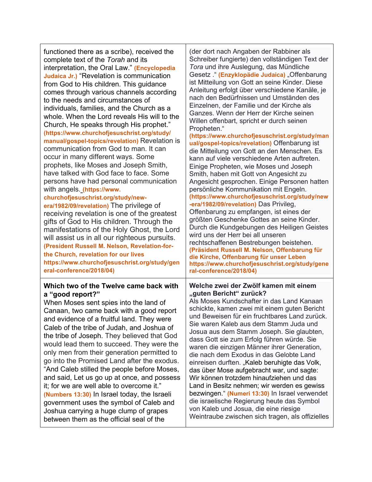| functioned there as a scribe), received the<br>complete text of the Torah and its<br>interpretation, the Oral Law." (Encyclopedia<br><b>Judaica Jr.) "Revelation is communication</b><br>from God to His children. This guidance<br>comes through various channels according<br>to the needs and circumstances of<br>individuals, families, and the Church as a<br>whole. When the Lord reveals His will to the<br>Church, He speaks through His prophet."<br>(https://www.churchofjesuschrist.org/study/<br>manual/gospel-topics/revelation) Revelation is<br>communication from God to man. It can<br>occur in many different ways. Some<br>prophets, like Moses and Joseph Smith,<br>have talked with God face to face. Some<br>persons have had personal communication<br>with angels. (https://www.<br>churchofjesuschrist.org/study/new-<br>era/1982/09/revelation) The privilege of<br>receiving revelation is one of the greatest<br>gifts of God to His children. Through the<br>manifestations of the Holy Ghost, the Lord<br>will assist us in all our righteous pursuits.<br>(President Russell M. Nelson, Revelation-for-<br>the Church, revelation for our lives<br>https://www.churchofjesuschrist.org/study/gen<br>eral-conference/2018/04) | (der dort nach Angaben der Rabbiner als<br>Schreiber fungierte) den vollständigen Text der<br>Tora und ihre Auslegung, das Mündliche<br>Gesetz . " (Enzyklopädie Judaica) "Offenbarung<br>ist Mitteilung von Gott an seine Kinder. Diese<br>Anleitung erfolgt über verschiedene Kanäle, je<br>nach den Bedürfnissen und Umständen des<br>Einzelnen, der Familie und der Kirche als<br>Ganzes. Wenn der Herr der Kirche seinen<br>Willen offenbart, spricht er durch seinen<br>Propheten."<br>(https://www.churchofjesuschrist.org/study/man<br>ual/gospel-topics/revelation) Offenbarung ist<br>die Mitteilung von Gott an den Menschen. Es<br>kann auf viele verschiedene Arten auftreten.<br>Einige Propheten, wie Moses und Joseph<br>Smith, haben mit Gott von Angesicht zu<br>Angesicht gesprochen. Einige Personen hatten<br>persönliche Kommunikation mit Engeln.<br>(https://www.churchofjesuschrist.org/study/new<br>-era/1982/09/revelation) Das Privileg,<br>Offenbarung zu empfangen, ist eines der<br>größten Geschenke Gottes an seine Kinder.<br>Durch die Kundgebungen des Heiligen Geistes<br>wird uns der Herr bei all unseren<br>rechtschaffenen Bestrebungen beistehen.<br>(Präsident Russell M. Nelson, Offenbarung für<br>die Kirche, Offenbarung für unser Leben<br>https://www.churchofjesuschrist.org/study/gene<br>ral-conference/2018/04) |
|-------------------------------------------------------------------------------------------------------------------------------------------------------------------------------------------------------------------------------------------------------------------------------------------------------------------------------------------------------------------------------------------------------------------------------------------------------------------------------------------------------------------------------------------------------------------------------------------------------------------------------------------------------------------------------------------------------------------------------------------------------------------------------------------------------------------------------------------------------------------------------------------------------------------------------------------------------------------------------------------------------------------------------------------------------------------------------------------------------------------------------------------------------------------------------------------------------------------------------------------------------------|----------------------------------------------------------------------------------------------------------------------------------------------------------------------------------------------------------------------------------------------------------------------------------------------------------------------------------------------------------------------------------------------------------------------------------------------------------------------------------------------------------------------------------------------------------------------------------------------------------------------------------------------------------------------------------------------------------------------------------------------------------------------------------------------------------------------------------------------------------------------------------------------------------------------------------------------------------------------------------------------------------------------------------------------------------------------------------------------------------------------------------------------------------------------------------------------------------------------------------------------------------------------------------------------------------------------------------------------------------------------|
| Which two of the Twelve came back with<br>a "good report?"<br>When Moses sent spies into the land of<br>Canaan, two came back with a good report<br>and evidence of a fruitful land. They were<br>Caleb of the tribe of Judah, and Joshua of<br>the tribe of Joseph. They believed that God<br>would lead them to succeed. They were the<br>only men from their generation permitted to<br>go into the Promised Land after the exodus.<br>"And Caleb stilled the people before Moses,<br>and said, Let us go up at once, and possess<br>it; for we are well able to overcome it."<br>(Numbers 13:30) In Israel today, the Israeli<br>government uses the symbol of Caleb and<br>Joshua carrying a huge clump of grapes<br>between them as the official seal of the                                                                                                                                                                                                                                                                                                                                                                                                                                                                                          | Welche zwei der Zwölf kamen mit einem<br>"guten Bericht" zurück?<br>Als Moses Kundschafter in das Land Kanaan<br>schickte, kamen zwei mit einem guten Bericht<br>und Beweisen für ein fruchtbares Land zurück.<br>Sie waren Kaleb aus dem Stamm Juda und<br>Josua aus dem Stamm Joseph. Sie glaubten,<br>dass Gott sie zum Erfolg führen würde. Sie<br>waren die einzigen Männer ihrer Generation,<br>die nach dem Exodus in das Gelobte Land<br>einreisen durften. "Kaleb beruhigte das Volk,<br>das über Mose aufgebracht war, und sagte:<br>Wir können trotzdem hinaufziehen und das<br>Land in Besitz nehmen; wir werden es gewiss<br>bezwingen." (Numeri 13:30) In Israel verwendet<br>die israelische Regierung heute das Symbol<br>von Kaleb und Josua, die eine riesige<br>Weintraube zwischen sich tragen, als offizielles                                                                                                                                                                                                                                                                                                                                                                                                                                                                                                                                  |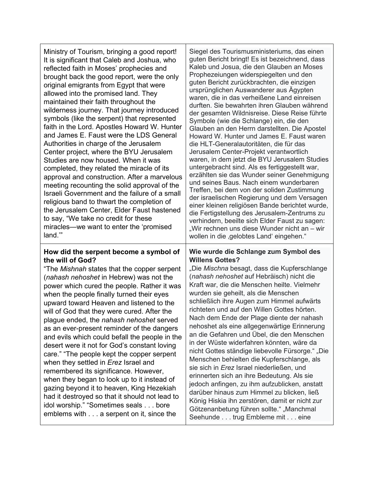Ministry of Tourism, bringing a good report! It is significant that Caleb and Joshua, who reflected faith in Moses' prophecies and brought back the good report, were the only original emigrants from Egypt that were allowed into the promised land. They maintained their faith throughout the wilderness journey. That journey introduced symbols (like the serpent) that represented faith in the Lord. Apostles Howard W. Hunter and James E. Faust were the LDS General Authorities in charge of the Jerusalem Center project, where the BYU Jerusalem Studies are now housed. When it was completed, they related the miracle of its approval and construction. After a marvelous meeting recounting the solid approval of the Israeli Government and the failure of a small religious band to thwart the completion of the Jerusalem Center, Elder Faust hastened to say, "We take no credit for these miracles—we want to enter the 'promised land.'"

### **How did the serpent become a symbol of the will of God?**

"The *Mishnah* states that the copper serpent (*nahash nehoshet* in Hebrew) was not the power which cured the people. Rather it was when the people finally turned their eyes upward toward Heaven and listened to the will of God that they were cured. After the plague ended, the *nahash nehoshet* served as an ever-present reminder of the dangers and evils which could befall the people in the desert were it not for God's constant loving care." "The people kept the copper serpent when they settled in *Erez* Israel and remembered its significance. However, when they began to look up to it instead of gazing beyond it to heaven, King Hezekiah had it destroyed so that it should not lead to idol worship." "Sometimes seals . . . bore emblems with . . . a serpent on it, since the

Siegel des Tourismusministeriums, das einen guten Bericht bringt! Es ist bezeichnend, dass Kaleb und Josua, die den Glauben an Moses Prophezeiungen widerspiegelten und den guten Bericht zurückbrachten, die einzigen ursprünglichen Auswanderer aus Ägypten waren, die in das verheißene Land einreisen durften. Sie bewahrten ihren Glauben während der gesamten Wildnisreise. Diese Reise führte Symbole (wie die Schlange) ein, die den Glauben an den Herrn darstellten. Die Apostel Howard W. Hunter und James E. Faust waren die HLT-Generalautoritäten, die für das Jerusalem Center-Projekt verantwortlich waren, in dem jetzt die BYU Jerusalem Studies untergebracht sind. Als es fertiggestellt war, erzählten sie das Wunder seiner Genehmigung und seines Baus. Nach einem wunderbaren Treffen, bei dem von der soliden Zustimmung der israelischen Regierung und dem Versagen einer kleinen religiösen Bande berichtet wurde, die Fertigstellung des Jerusalem-Zentrums zu verhindern, beeilte sich Elder Faust zu sagen: "Wir rechnen uns diese Wunder nicht an – wir wollen in die , gelobtes Land' eingehen."

### **Wie wurde die Schlange zum Symbol des Willens Gottes?**

"Die *Mischna* besagt, dass die Kupferschlange (*nahash nehoshet* auf Hebräisch) nicht die Kraft war, die die Menschen heilte. Vielmehr wurden sie geheilt, als die Menschen schließlich ihre Augen zum Himmel aufwärts richteten und auf den Willen Gottes hörten. Nach dem Ende der Plage diente der nahash nehoshet als eine allgegenwärtige Erinnerung an die Gefahren und Übel, die den Menschen in der Wüste widerfahren könnten, wäre da nicht Gottes ständige liebevolle Fürsorge." "Die Menschen behielten die Kupferschlange, als sie sich in *Erez* Israel niederließen, und erinnerten sich an ihre Bedeutung. Als sie jedoch anfingen, zu ihm aufzublicken, anstatt darüber hinaus zum Himmel zu blicken, ließ König Hiskia ihn zerstören, damit er nicht zur Götzenanbetung führen sollte." "Manchmal Seehunde . . . trug Embleme mit . . . eine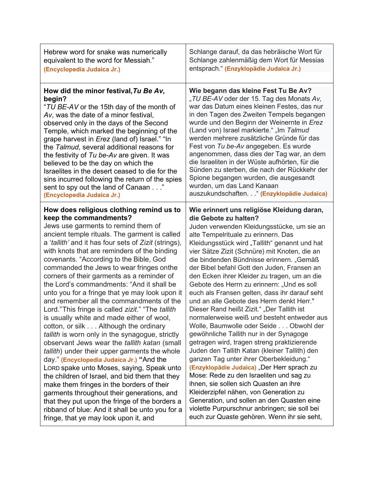| Hebrew word for snake was numerically                | Schlange darauf, da das hebräische Wort für    |
|------------------------------------------------------|------------------------------------------------|
| equivalent to the word for Messiah."                 | Schlange zahlenmäßig dem Wort für Messias      |
| (Encyclopedia Judaica Jr.)                           | entsprach." (Enzyklopädie Judaica Jr.)         |
| How did the minor festival, Tu Be Av,                | Wie begann das kleine Fest Tu Be Av?           |
| begin?                                               | "TU BE-AV oder der 15. Tag des Monats Av,      |
| "TU BE-AV or the 15th day of the month of            | war das Datum eines kleinen Festes, das nur    |
| Av, was the date of a minor festival,                | in den Tagen des Zweiten Tempels begangen      |
| observed only in the days of the Second              | wurde und den Beginn der Weinernte in Erez     |
| Temple, which marked the beginning of the            | (Land von) Israel markierte." "Im Talmud       |
| grape harvest in <i>Erez</i> (land of) Israel." "In  | werden mehrere zusätzliche Gründe für das      |
| the Talmud, several additional reasons for           | Fest von Tu be-Av angegeben. Es wurde          |
| the festivity of Tu be-Av are given. It was          | angenommen, dass dies der Tag war, an dem      |
| believed to be the day on which the                  | die Israeliten in der Wüste aufhörten, für die |
| Israelites in the desert ceased to die for the       | Sünden zu sterben, die nach der Rückkehr der   |
| sins incurred following the return of the spies      | Spione begangen wurden, die ausgesandt         |
| sent to spy out the land of Canaan"                  | wurden, um das Land Kanaan                     |
| (Encyclopedia Judaica Jr.)                           | auszukundschaften " (Enzyklopädie Judaica)     |
| How does religious clothing remind us to             | Wie erinnert uns religiöse Kleidung daran,     |
| keep the commandments?                               | die Gebote zu halten?                          |
| Jews use garments to remind them of                  | Juden verwenden Kleidungsstücke, um sie an     |
| ancient temple rituals. The garment is called        | alte Tempelrituale zu erinnern. Das            |
| a 'tallith' and it has four sets of Zizit (strings), | Kleidungsstück wird "Tallith" genannt und hat  |
| with knots that are reminders of the binding         | vier Sätze Zizit (Schnüre) mit Knoten, die an  |
| covenants. "According to the Bible, God              | die bindenden Bündnisse erinnern. "Gemäß       |
| commanded the Jews to wear fringes onthe             | der Bibel befahl Gott den Juden, Fransen an    |
| corners of their garments as a reminder of           | den Ecken ihrer Kleider zu tragen, um an die   |
| the Lord's commandments: "And it shall be            | Gebote des Herrn zu erinnern: "Und es soll     |
| unto you for a fringe that ye may look upon it       | euch als Fransen gelten, dass ihr darauf seht  |
| and remember all the commandments of the             | und an alle Gebote des Herrn denkt Herr."      |
| Lord." This fringe is called zizit." "The tallith    | Dieser Rand heißt Zizit." "Der Tallith ist     |
| is usually white and made either of wool,            | normalerweise weiß und besteht entweder aus    |
| cotton, or silk Although the ordinary                | Wolle, Baumwolle oder Seide Obwohl der         |
| tallith is worn only in the synagogue, strictly      | gewöhnliche Tallith nur in der Synagoge        |
| observant Jews wear the tallith katan (small         | getragen wird, tragen streng praktizierende    |
| tallith) under their upper garments the whole        | Juden den Tallith Katan (kleiner Tallith) den  |
| day." (Encyclopedia Judaica Jr.) "And the            | ganzen Tag unter ihrer Oberbekleidung."        |
| LORD spake unto Moses, saying, Speak unto            | (Enzyklopädie Judaica) "Der Herr sprach zu     |
| the children of Israel, and bid them that they       | Mose: Rede zu den Israeliten und sag zu        |
| make them fringes in the borders of their            | ihnen, sie sollen sich Quasten an ihre         |
| garments throughout their generations, and           | Kleiderzipfel nähen, von Generation zu         |
| that they put upon the fringe of the borders a       | Generation, und sollen an den Quasten eine     |
| ribband of blue: And it shall be unto you for a      | violette Purpurschnur anbringen; sie soll bei  |
| fringe, that ye may look upon it, and                | euch zur Quaste gehören. Wenn ihr sie seht,    |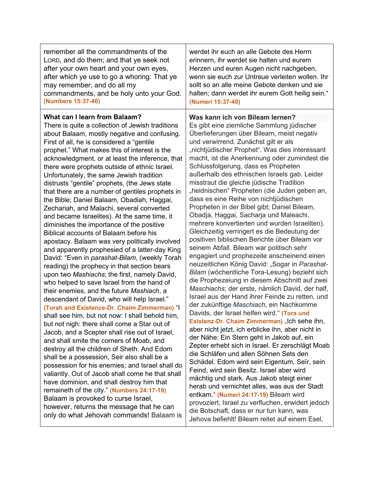| remember all the commandments of the                                                                                                                                                                                                                                                                                                                                                                                                                                                                                                                                                                                                                                                                                                                                                                                                                                                                                                                                                                                                                                                                                                                                                                                                                                                                                                                                                                                                                                                                                                                                                                                                                                                                                                                                                               | werdet ihr euch an alle Gebote des Herrn                                                                                                                                                                                                                                                                                                                                                                                                                                                                                                                                                                                                                                                                                                                                                                                                                                                                                                                                                                                                                                                                                                                                                                                                                                                                                                                                                                                                                                                                                                                                                                                                                                                                                                                                                                                            |
|----------------------------------------------------------------------------------------------------------------------------------------------------------------------------------------------------------------------------------------------------------------------------------------------------------------------------------------------------------------------------------------------------------------------------------------------------------------------------------------------------------------------------------------------------------------------------------------------------------------------------------------------------------------------------------------------------------------------------------------------------------------------------------------------------------------------------------------------------------------------------------------------------------------------------------------------------------------------------------------------------------------------------------------------------------------------------------------------------------------------------------------------------------------------------------------------------------------------------------------------------------------------------------------------------------------------------------------------------------------------------------------------------------------------------------------------------------------------------------------------------------------------------------------------------------------------------------------------------------------------------------------------------------------------------------------------------------------------------------------------------------------------------------------------------|-------------------------------------------------------------------------------------------------------------------------------------------------------------------------------------------------------------------------------------------------------------------------------------------------------------------------------------------------------------------------------------------------------------------------------------------------------------------------------------------------------------------------------------------------------------------------------------------------------------------------------------------------------------------------------------------------------------------------------------------------------------------------------------------------------------------------------------------------------------------------------------------------------------------------------------------------------------------------------------------------------------------------------------------------------------------------------------------------------------------------------------------------------------------------------------------------------------------------------------------------------------------------------------------------------------------------------------------------------------------------------------------------------------------------------------------------------------------------------------------------------------------------------------------------------------------------------------------------------------------------------------------------------------------------------------------------------------------------------------------------------------------------------------------------------------------------------------|
| LORD, and do them; and that ye seek not                                                                                                                                                                                                                                                                                                                                                                                                                                                                                                                                                                                                                                                                                                                                                                                                                                                                                                                                                                                                                                                                                                                                                                                                                                                                                                                                                                                                                                                                                                                                                                                                                                                                                                                                                            | erinnern, ihr werdet sie halten und eurem                                                                                                                                                                                                                                                                                                                                                                                                                                                                                                                                                                                                                                                                                                                                                                                                                                                                                                                                                                                                                                                                                                                                                                                                                                                                                                                                                                                                                                                                                                                                                                                                                                                                                                                                                                                           |
| after your own heart and your own eyes,                                                                                                                                                                                                                                                                                                                                                                                                                                                                                                                                                                                                                                                                                                                                                                                                                                                                                                                                                                                                                                                                                                                                                                                                                                                                                                                                                                                                                                                                                                                                                                                                                                                                                                                                                            | Herzen und euren Augen nicht nachgeben,                                                                                                                                                                                                                                                                                                                                                                                                                                                                                                                                                                                                                                                                                                                                                                                                                                                                                                                                                                                                                                                                                                                                                                                                                                                                                                                                                                                                                                                                                                                                                                                                                                                                                                                                                                                             |
| after which ye use to go a whoring: That ye                                                                                                                                                                                                                                                                                                                                                                                                                                                                                                                                                                                                                                                                                                                                                                                                                                                                                                                                                                                                                                                                                                                                                                                                                                                                                                                                                                                                                                                                                                                                                                                                                                                                                                                                                        | wenn sie euch zur Untreue verleiten wollen. Ihr                                                                                                                                                                                                                                                                                                                                                                                                                                                                                                                                                                                                                                                                                                                                                                                                                                                                                                                                                                                                                                                                                                                                                                                                                                                                                                                                                                                                                                                                                                                                                                                                                                                                                                                                                                                     |
| may remember, and do all my                                                                                                                                                                                                                                                                                                                                                                                                                                                                                                                                                                                                                                                                                                                                                                                                                                                                                                                                                                                                                                                                                                                                                                                                                                                                                                                                                                                                                                                                                                                                                                                                                                                                                                                                                                        | sollt so an alle meine Gebote denken und sie                                                                                                                                                                                                                                                                                                                                                                                                                                                                                                                                                                                                                                                                                                                                                                                                                                                                                                                                                                                                                                                                                                                                                                                                                                                                                                                                                                                                                                                                                                                                                                                                                                                                                                                                                                                        |
| commandments, and be holy unto your God.                                                                                                                                                                                                                                                                                                                                                                                                                                                                                                                                                                                                                                                                                                                                                                                                                                                                                                                                                                                                                                                                                                                                                                                                                                                                                                                                                                                                                                                                                                                                                                                                                                                                                                                                                           | halten; dann werdet ihr eurem Gott heilig sein."                                                                                                                                                                                                                                                                                                                                                                                                                                                                                                                                                                                                                                                                                                                                                                                                                                                                                                                                                                                                                                                                                                                                                                                                                                                                                                                                                                                                                                                                                                                                                                                                                                                                                                                                                                                    |
| (Numbers 15:37-40)                                                                                                                                                                                                                                                                                                                                                                                                                                                                                                                                                                                                                                                                                                                                                                                                                                                                                                                                                                                                                                                                                                                                                                                                                                                                                                                                                                                                                                                                                                                                                                                                                                                                                                                                                                                 | (Numeri 15:37-40)                                                                                                                                                                                                                                                                                                                                                                                                                                                                                                                                                                                                                                                                                                                                                                                                                                                                                                                                                                                                                                                                                                                                                                                                                                                                                                                                                                                                                                                                                                                                                                                                                                                                                                                                                                                                                   |
| What can I learn from Balaam?<br>There is quite a collection of Jewish traditions<br>about Balaam, mostly negative and confusing.<br>First of all, he is considered a "gentile<br>prophet." What makes this of interest is the<br>acknowledgment, or at least the inference, that<br>there were prophets outside of ethnic Israel.<br>Unfortunately, the same Jewish tradition<br>distrusts "gentile" prophets, (the Jews state<br>that there are a number of gentiles prophets in<br>the Bible; Daniel Balaam, Obadiah, Haggai,<br>Zechariah, and Malachi, several converted<br>and became Israelites). At the same time, it<br>diminishes the importance of the positive<br>Biblical accounts of Balaam before his<br>apostacy. Balaam was very politically involved<br>and apparently prophesied of a latter-day King<br>David: "Even in parashat-Bilam, (weekly Torah<br>reading) the prophecy in that section bears<br>upon two Mashiachs; the first, namely David,<br>who helped to save Israel from the hand of<br>their enemies, and the future Mashiach, a<br>descendant of David, who will help Israel."<br>(Torah and Existence-Dr. Chaim Zimmerman) "I<br>shall see him, but not now: I shall behold him,<br>but not nigh: there shall come a Star out of<br>Jacob, and a Scepter shall rise out of Israel,<br>and shall smite the corners of Moab, and<br>destroy all the children of Sheth. And Edom<br>shall be a possession, Seir also shall be a<br>possession for his enemies; and Israel shall do<br>valiantly. Out of Jacob shall come he that shall<br>have dominion, and shall destroy him that<br>remaineth of the city." (Numbers 24:17-19)<br>Balaam is provoked to curse Israel,<br>however, returns the message that he can<br>only do what Jehovah commands! Balaam is | Was kann ich von Bileam lernen?<br>Es gibt eine ziemliche Sammlung jüdischer<br>Überlieferungen über Bileam, meist negativ<br>und verwirrend. Zunächst gilt er als<br>"nichtjüdischer Prophet". Was dies interessant<br>macht, ist die Anerkennung oder zumindest die<br>Schlussfolgerung, dass es Propheten<br>außerhalb des ethnischen Israels gab. Leider<br>misstraut die gleiche jüdische Tradition<br>"heidnischen" Propheten (die Juden geben an,<br>dass es eine Reihe von nichtjüdischen<br>Propheten in der Bibel gibt; Daniel Bileam,<br>Obadja, Haggai, Sacharja und Maleachi,<br>mehrere konvertierten und wurden Israeliten).<br>Gleichzeitig verringert es die Bedeutung der<br>positiven biblischen Berichte über Bileam vor<br>seinem Abfall. Bileam war politisch sehr<br>engagiert und prophezeite anscheinend einen<br>neuzeitlichen König David: "Sogar in Parashat-<br>Bilam (wöchentliche Tora-Lesung) bezieht sich<br>die Prophezeiung in diesem Abschnitt auf zwei<br>Maschiachs; der erste, nämlich David, der half,<br>Israel aus der Hand ihrer Feinde zu retten, und<br>der zukünftige Maschiach, ein Nachkomme<br>Davids, der Israel helfen wird." (Tora und<br>Existenz-Dr. Chaim Zimmerman) "Ich sehe ihn,<br>aber nicht jetzt, ich erblicke ihn, aber nicht in<br>der Nähe: Ein Stern geht in Jakob auf, ein<br>Zepter erhebt sich in Israel. Er zerschlägt Moab<br>die Schläfen und allen Söhnen Sets den<br>Schädel. Edom wird sein Eigentum, Seïr, sein<br>Feind, wird sein Besitz. Israel aber wird<br>mächtig und stark. Aus Jakob steigt einer<br>herab und vernichtet alles, was aus der Stadt<br>entkam." (Numeri 24:17-19) Bileam wird<br>provoziert, Israel zu verfluchen, erwidert jedoch<br>die Botschaft, dass er nur tun kann, was<br>Jehova befiehlt! Bileam reitet auf einem Esel, |